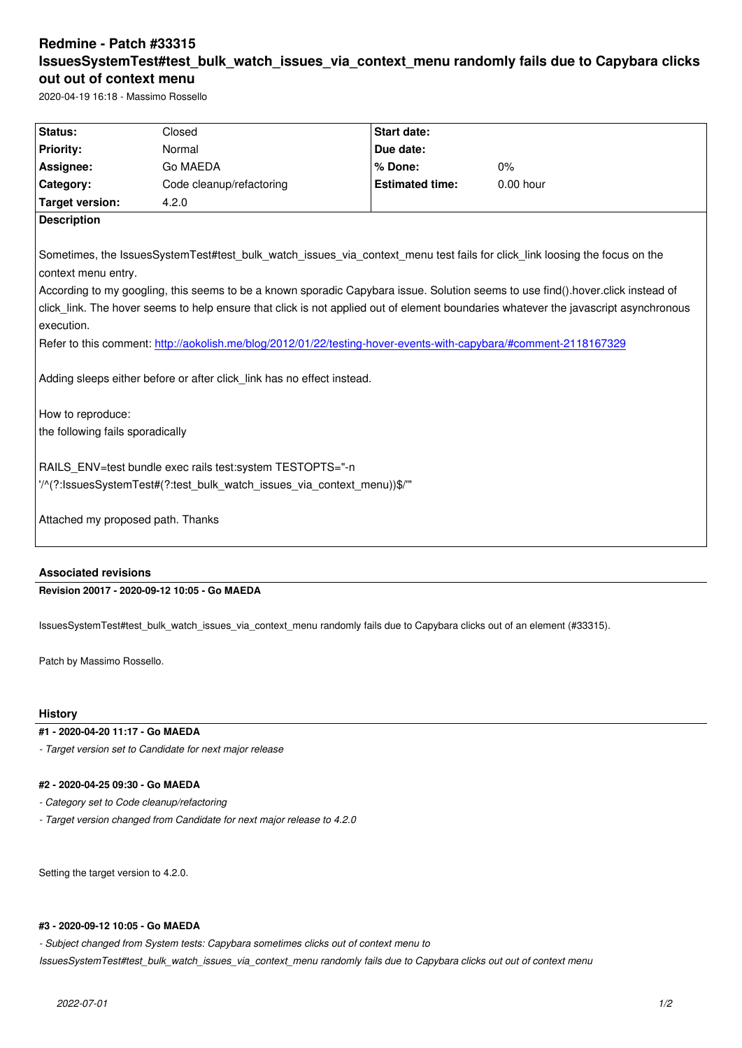## **IssuesSystemTest#test\_bulk\_watch\_issues\_via\_context\_menu randomly fails due to Capybara clicks out out of context menu**

2020-04-19 16:18 - Massimo Rossello

| Status:                                                                                                                                                                                                                                                                              | Closed                   | <b>Start date:</b>     |             |
|--------------------------------------------------------------------------------------------------------------------------------------------------------------------------------------------------------------------------------------------------------------------------------------|--------------------------|------------------------|-------------|
| <b>Priority:</b>                                                                                                                                                                                                                                                                     | Normal                   | Due date:              |             |
| Assignee:                                                                                                                                                                                                                                                                            | Go MAEDA                 | % Done:                | 0%          |
| Category:                                                                                                                                                                                                                                                                            | Code cleanup/refactoring | <b>Estimated time:</b> | $0.00$ hour |
| <b>Target version:</b>                                                                                                                                                                                                                                                               | 4.2.0                    |                        |             |
| <b>Description</b><br>Sometimes, the IssuesSystemTest#test_bulk_watch_issues_via_context_menu test fails for click_link loosing the focus on the                                                                                                                                     |                          |                        |             |
| context menu entry.                                                                                                                                                                                                                                                                  |                          |                        |             |
| According to my googling, this seems to be a known sporadic Capybara issue. Solution seems to use find() hover click instead of<br>click_link. The hover seems to help ensure that click is not applied out of element boundaries whatever the javascript asynchronous<br>execution. |                          |                        |             |
| Refer to this comment: http://aokolish.me/blog/2012/01/22/testing-hover-events-with-capybara/#comment-2118167329                                                                                                                                                                     |                          |                        |             |
| Adding sleeps either before or after click link has no effect instead.<br>How to reproduce:<br>the following fails sporadically                                                                                                                                                      |                          |                        |             |
| RAILS ENV=test bundle exec rails test: system TESTOPTS="-n                                                                                                                                                                                                                           |                          |                        |             |
| "/^(?:lssuesSystemTest#(?:test bulk watch issues via context menu))\$/"<br>Attached my proposed path. Thanks                                                                                                                                                                         |                          |                        |             |
| <b>Associated revisions</b>                                                                                                                                                                                                                                                          |                          |                        |             |

**Revision 20017 - 2020-09-12 10:05 - Go MAEDA**

IssuesSystemTest#test\_bulk\_watch\_issues\_via\_context\_menu randomly fails due to Capybara clicks out of an element (#33315).

Patch by Massimo Rossello.

## **History**

**#1 - 2020-04-20 11:17 - Go MAEDA**

*- Target version set to Candidate for next major release*

## **#2 - 2020-04-25 09:30 - Go MAEDA**

*- Category set to Code cleanup/refactoring*

*- Target version changed from Candidate for next major release to 4.2.0*

Setting the target version to 4.2.0.

## **#3 - 2020-09-12 10:05 - Go MAEDA**

*- Subject changed from System tests: Capybara sometimes clicks out of context menu to* 

*IssuesSystemTest#test\_bulk\_watch\_issues\_via\_context\_menu randomly fails due to Capybara clicks out out of context menu*